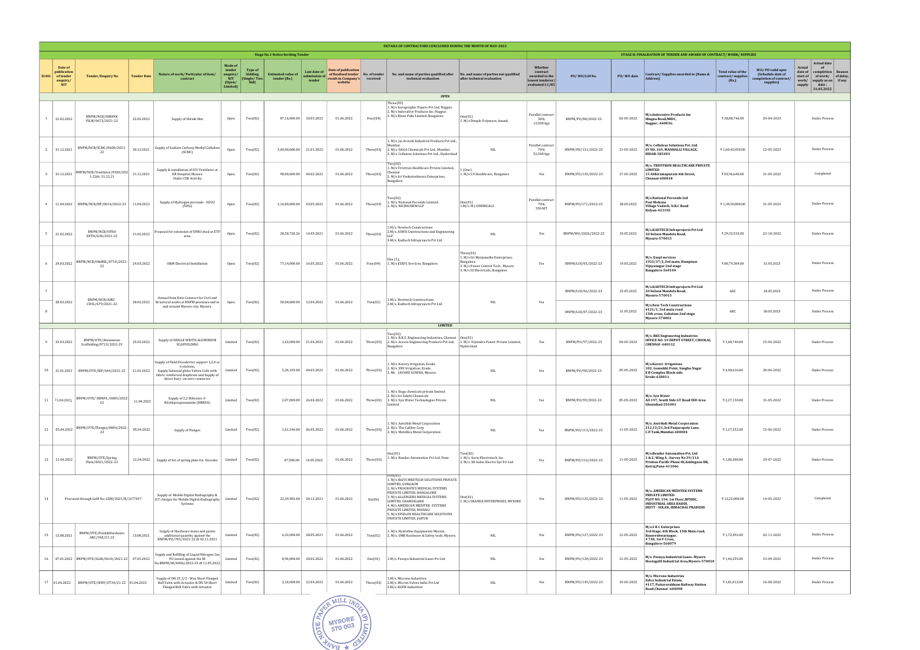| DETAILS OF CONTRACTORS CONCLUDED DURING THE MONTH OF MAY-2022 |                                                               |                                                     |                    |                                                                                                                                                                                    |                                                            |                                                          |                                           |                                       |                                                                                              |             |                                                                                                                                                                                                                                                                                                                                   |                                                                                                                                       |                                                                              |                      |            |                                                                                                                                                                 |                                                         |                                                                               |                                                                                                                                                                                        |
|---------------------------------------------------------------|---------------------------------------------------------------|-----------------------------------------------------|--------------------|------------------------------------------------------------------------------------------------------------------------------------------------------------------------------------|------------------------------------------------------------|----------------------------------------------------------|-------------------------------------------|---------------------------------------|----------------------------------------------------------------------------------------------|-------------|-----------------------------------------------------------------------------------------------------------------------------------------------------------------------------------------------------------------------------------------------------------------------------------------------------------------------------------|---------------------------------------------------------------------------------------------------------------------------------------|------------------------------------------------------------------------------|----------------------|------------|-----------------------------------------------------------------------------------------------------------------------------------------------------------------|---------------------------------------------------------|-------------------------------------------------------------------------------|----------------------------------------------------------------------------------------------------------------------------------------------------------------------------------------|
|                                                               |                                                               |                                                     |                    |                                                                                                                                                                                    |                                                            |                                                          | <b>Stage No.1 Notice Inviting Tender</b>  |                                       |                                                                                              |             |                                                                                                                                                                                                                                                                                                                                   |                                                                                                                                       |                                                                              |                      |            | STAGE II: FINALISATION OF TENDER AND AWARD OF CONTRACT/WORK/SUPPLIES                                                                                            |                                                         |                                                                               |                                                                                                                                                                                        |
| SI.NO.                                                        | Date of<br>publication<br>of tender<br>enquiry,<br><b>NIT</b> | Tender/Enquiry No                                   | <b>Tender Date</b> | Nature of work/ Particular of item/<br>contract                                                                                                                                    | Mode of<br>tender<br>enquiry/<br>NIT<br>(Open/<br>Limited) | <b>Type of</b><br>bidding<br><b>(Single/Two)</b><br>bid) | <b>Estimated value of</b><br>tender (Rs.) | Last date of<br>ubmission c<br>tender | Date of publication<br>of finalised tender   No. of tender<br>result in Company's<br>website | received    | No. and name of parties qualified after   No. and name of parties not qualified<br>technical evaluation                                                                                                                                                                                                                           | after technical evaluation                                                                                                            | Whether<br>contract<br>awarded to the<br>lowest tenderer/<br>evaluated L1/H1 | PO/WO/LOI No.        | PO/WO date | Contract/Supplies awarded to (Name &<br>Address)                                                                                                                | <b>Total value of the</b><br>contract/supplies<br>(Rs.) | WO/PO valid upto<br>(Schedule date of<br>completion of contract/<br>supplies) | <b>Actual date</b><br><b>Actual</b><br>of<br>completion<br>date of<br>Reason<br>of work/ $\int$ of delay,<br>start of<br>work/<br>supply as on if any<br>supply<br>date:<br>31.05.2022 |
|                                                               |                                                               |                                                     |                    |                                                                                                                                                                                    |                                                            |                                                          |                                           |                                       |                                                                                              |             | <b>OPEN</b><br>Three(03)                                                                                                                                                                                                                                                                                                          |                                                                                                                                       |                                                                              |                      |            |                                                                                                                                                                 |                                                         |                                                                               |                                                                                                                                                                                        |
|                                                               | 22.02.2022                                                    | <b>BNPM/NCB/SHRINK</b><br>FILM/0673/2021-22         | 22.02.2022         | Supply of Shrink film                                                                                                                                                              | Open                                                       | Two(02)                                                  | 87,16,000.00                              | 18.03.2022                            | 01.06.2022                                                                                   | Four(04)    | 1. M/s Aerographic Papers Pvt Ltd, Nagpur.<br>2. M/s Indovative Products Inc, Nagpur.<br>3. M/s Klene Paks Limited, Bangalore                                                                                                                                                                                                     | One(01)<br>1. M/s Dimple Polymers, Anand.                                                                                             | Parallel contract<br>30%<br>13,500 kgs                                       | BNPM/PO/88/2022-23   | 02-05-2022 | M/s.Indovative Products Inc<br>Hingna Road, MIDC,<br>Nagpur,-440036.                                                                                            | ₹ 28,88,746.00                                          | 20-04-2023                                                                    | <b>Under Process</b>                                                                                                                                                                   |
|                                                               | 2 31.12.2021                                                  | BNPM/NCB/SCMC/0600/2021-<br>22                      | 30.12.2021         | Supply of Sodium Carboxy Methyl Cellulose<br>(SCMC)                                                                                                                                | Open                                                       | Two(02)                                                  | 3,40,00,000.00                            | 21.01.2022                            | 01.06.2022                                                                                   |             | 1. M/s. Jai Aravali Industrial Products Pvt Ltd.,<br>Mumbai<br>Three(03) 2. M/s. DAGA Chemicals Pvt Ltd., Mumbai<br>3. M/s. Cellulose Solutions Pvt Ltd., Hyderabad                                                                                                                                                               | NIL.                                                                                                                                  | Parallel contract<br>70%<br>52,500 kgs                                       | BNPM/PO/131/2022-23  | 13-05-2022 | M/s. Cellulose Solutions Pvt. Ltd.<br>SY NO. 169, MANHALLI VILLAGE,<br><b>BIDAR-585403</b>                                                                      | ₹1,60,45,050.00                                         | 12-05-2023                                                                    | <b>Under Process</b>                                                                                                                                                                   |
| -3                                                            | 31.12.2021                                                    | BNPM/NCB/Ventilator/0583/202<br>1-22dt: 31.12.21    | 31.12.2021         | Supply & installation of ICU Ventilator at<br>KR Hospital, Mysore<br><b>Under CSR Activity</b>                                                                                     | Open                                                       | Two(02)                                                  | 90.00.000.00                              | 04.02.2022                            | 01.06.2022                                                                                   | Three(03)   | Two(02)<br>1. M/s Trivitron Healthcare Private Limited,<br>∷hennai<br>2. M/s Sri Venkateshwara Enterprises,<br>Bangalore                                                                                                                                                                                                          | 1 (One)<br>1. M/s S.V.Healthcare, Bangalore                                                                                           | Yes                                                                          | BNPM/PO/135/2022-23  | 17-05-2022 | M/s. TRIVITRON HEALTHCARE PRIVATE<br><b>LIMITED</b><br>15 Abhiramapuram 4th Street,<br>Chennai-600018                                                           | ₹83,96,640.00                                           | 31-05-2022                                                                    | Completed                                                                                                                                                                              |
|                                                               |                                                               | 4   11.04.2022   BNPM/NCB/HP/0014/2022-23           | 11.04.2022         | Supply of Hydrogen peroxide - H2O2<br>(50%)                                                                                                                                        | Open                                                       | Two(02)                                                  | 2,10,00,000.00                            | 03.05.2022                            | 01.06.2022                                                                                   | Three(03)   | Two(02)<br>1. M/s. National Peroxide Limited.<br>2. M/s. NICHECHEM LLP                                                                                                                                                                                                                                                            | One(01) <br>1.M/s. M J CHEMICALS                                                                                                      | Parallel contract<br>70%<br>350 MT                                           | BNPM/PO/171/2022-23  | 28.05.2022 | M/s.National Peroxide Ltd<br><b>Post Mohone</b><br>Village Vadavli, N.R.C Road<br>Kalyan-421102                                                                 | ₹1,30,50,800.00                                         | 31-05-2023                                                                    | <b>Under Process</b>                                                                                                                                                                   |
|                                                               | 5 21.02.2022                                                  | BNPM/NCB/UFRO<br>EXTN/638/2021-22                   | 21.02.2022         | Proposal for extension of UFRO shed at ETP<br>area.                                                                                                                                | Open                                                       | Two(02)                                                  | 28,50,720.26                              | 14.09.2021                            | 01.06.2022                                                                                   | Three(03)   | 1.M/s. Newtech Constructions<br>2.M/s. ASWE Constructions and Engineering<br>3.M/s. Kadtech Infraprojects Pvt Ltd                                                                                                                                                                                                                 | <b>NIL</b>                                                                                                                            | Yes                                                                          | BNPM/W0/2026/2022-23 | 23.05.2022 | M/s.KADTECH Infraprojects Pvt Ltd<br>20 Nelson Mandela Road,<br>Mysuru-570015                                                                                   | ₹ 29,33,533.00                                          | 22-10-2022                                                                    | <b>Under Process</b>                                                                                                                                                                   |
| -6                                                            | 24.03.2022                                                    | BNPM/NCB/0&MEL/0710/2021<br>22                      | 24.03.2022         | <b>O&amp;M</b> Electrical Installation                                                                                                                                             | Open                                                       | Two(02)                                                  | 77,14,000.00                              | 16.05.2022                            | 01.06.2022                                                                                   | Four $(04)$ | Dne (1),<br>1. M/s ESEPL Services, Bangalore                                                                                                                                                                                                                                                                                      | Three(03)<br>1. M/s Sri Manjunatha Enterprises,<br>Bangalore<br>2. M/s Power Control Tech, Mysore<br>3. M/s SS Electricals, Bangalore | Yes                                                                          | BNPM/L0I/05/2022-23  | 19.05.2022 | M/s. Esepl services<br>1933/37/1,3rd main, Hampinar<br>Vijayanagar 2nd stage<br>Bangalore-560104                                                                | ₹80,79,384.00                                           | 31.05.2023                                                                    | <b>Under Process</b>                                                                                                                                                                   |
|                                                               |                                                               | BNPM/NCB/AIRC-                                      |                    | Annual Item Rate Contract for Civil and                                                                                                                                            |                                                            |                                                          |                                           |                                       |                                                                                              |             | 1.M/s. Newtwch Constructions                                                                                                                                                                                                                                                                                                      |                                                                                                                                       |                                                                              | BNPM/L0I/06/2022-23  | 25.05.2022 | M/s.KADTECH Infraprojects Pvt Ltd<br>20 Nelson Mandela Road<br>Mysuru-570015                                                                                    | ARC                                                     | 24.05.2023                                                                    | <b>Under Process</b>                                                                                                                                                                   |
|                                                               | 28.02.2022                                                    | CIVIL/679/2021-22                                   | 28.02.2022         | Structural works at BNPM premises and in<br>and around Mysore city, Mysuru.                                                                                                        | Open                                                       | Two(02)                                                  | 50,00,000.00                              | 12.04.2022                            | 01.06.2022                                                                                   | Two(02)     | 2.M/s. Kadtech Infraprojects Pvt Ltd<br><b>LIMITED</b>                                                                                                                                                                                                                                                                            | <b>NIL</b>                                                                                                                            | Yes                                                                          | BNPM/L0I/07/2022-23  | 31.05.2022 | <b>M/s.New Tech Constructions</b><br>#121/1, 3rd main road<br>13th cross, Gokulam 2nd stage<br>Mysore-570002                                                    | ARC                                                     | 30.05.2023                                                                    | <b>Under Process</b>                                                                                                                                                                   |
| -9                                                            | 25.03.2022                                                    | BNPM/OTE/Aluminium<br>Scaffolding/0723/2022-23      | 25.03.2022         | Supply of SINGLE WIDTH ALUMINIUM<br>SCAFFOLDING                                                                                                                                    | Limited                                                    | Two(02)                                                  | 1,63,000.00                               | 21.04.2022                            | 01.06.2022                                                                                   | Three(03)   | Two(02)<br>1. M/s. R.K.S. Engineering Industries, Chennai<br>2. M/s. Access Engineering Products Pvt Ltd,   1. M/s. Vijaindra Power Private Limited,<br>Bangalore                                                                                                                                                                 | One(01<br>Hyderabad                                                                                                                   | Yes                                                                          | BNPM/P0/97/2022-23   | 04-05-2022 | M/s. RKS Engineering Industries<br>OFFICE NO. 19 DEPOT STREET, CHOOLAI,<br><b>CHENNAI-600112</b>                                                                | ₹1,68,740.00                                            | 15-06-2022                                                                    | <b>Under Process</b>                                                                                                                                                                   |
|                                                               |                                                               | 10 21.01.2022 BNPM/OTE/IEP/644/2021-22              | 21.01.2022         | Supply of Field Decodertor support 1,2,4 or<br>6 stations<br>Supply Solenoid globe Valves Coils with<br>fabric reinforced diaphram and Supply of<br>direct bury -on wire connector | Limited                                                    | Two(02)                                                  | 5,20,105.00                               | 04.03.2022                            | 01.06.2022                                                                                   | Three(03)   | 1. M/s. Kavery Irrigation, Erode.<br>2. M/s. SNV Irrigation, Erode.<br>3. Mr. JAVARE GOWDA, Mysore.                                                                                                                                                                                                                               | $_{\rm NIL}$                                                                                                                          | Yes                                                                          | BNPM/P0/98/2022-23   | 05-05-2022 | M/s.Kaveri Irrigations<br>102, Gomukhi Point, Sanghu Nagar<br><b>EB</b> Complex Block side<br>Erode-638011                                                      | ₹4,90,616.00                                            | 30-06-2022                                                                    | <b>Under Process</b>                                                                                                                                                                   |
|                                                               | 11 11.04.2022                                                 | BNPM/OTE/DBNPA /0005/2022-<br>23                    | 11.04.2022         | Supply of 2,2 Dibromo-3-<br>Nitrilopropionamide (DBNPA)                                                                                                                            | Limited                                                    | Two(02)                                                  | 2,07,000.00                               | 26.04.2022                            | 01.06.2022                                                                                   | Three(03)   | 1. M/s. Daga chemicals private limited<br>2. M/s Sri Sakthi Chemicals<br>3. M/s. Syn Water Technologies Private<br>Limited                                                                                                                                                                                                        | $\rm NIL$                                                                                                                             | Yes                                                                          | BNPM/P0/99/2022-23   | 05-05-2022 | M/s. Syn Water<br>AO 197, South Side GT Road IND Area<br>Ghaziabad-201001                                                                                       | ₹2,27,150.00                                            | 31-05-2022                                                                    | <b>Under Process</b>                                                                                                                                                                   |
|                                                               | 12 05.04.2022                                                 | BNPM/OTE/Flanges/0004/2022-                         | 05.04.2022         | Supply of Flanges                                                                                                                                                                  | Limited                                                    | Two(02)                                                  | 1,61,246.00                               | 06.05.2022                            | 01.06.2022                                                                                   | Three(03)   | 1. M/s. Antriksh Metal Corporation<br>2. M/s. The Calibre Corp<br>3. M/s. Metallica Metal Corporation                                                                                                                                                                                                                             | NIL                                                                                                                                   | Yes                                                                          | BNPM/PO/113/2022-23  | 11-05-2022 | M/s. Antriksh Metal Corporation<br>312,13/21,3rd Panjarapole Lane,<br>C.P.Tank,Mumbai-400004                                                                    | ₹1,27,552.00                                            | 15-06-2022                                                                    | <b>Under Process</b>                                                                                                                                                                   |
|                                                               | 13 21.04.2022                                                 | BNPM/OTE/Spring<br>Plate/0021/2022-23               | 21.04.2022         | Supply of Set of spring plate for Encoder                                                                                                                                          | Limited                                                    | Two(02)                                                  | 87,500.00                                 | 10.05.2022                            | 01.06.2022                                                                                   | Three(03)   | Dne(01)<br>1. M/s. Render Automation Pvt Ltd, Pune                                                                                                                                                                                                                                                                                | Two(02)<br>1. M/s. Suraj Electrotech. Inc.<br>2. M/s. SR Indus Electro Sys Pvt Ltd                                                    | Yes                                                                          | BNPM/P0/116/2022-23  | 11-05-2022 | M/s.Render Automation Pvt. Ltd<br>1 & 2, Wing A, Survey No 39/11A<br>Pristine Pacific Phase III, Ambegaon BK,<br>Katraj, Pune-411046                            | ₹1,00,300.00                                            | 29-07-2022                                                                    | <b>Under Process</b>                                                                                                                                                                   |
| 14                                                            |                                                               | Procured through GeM No. GEM/2021/B/1677037         |                    | Supply of Mobile Digital Radiography &<br>ICT charges for Mobile Digital Radiography<br>Systems                                                                                    | Limited                                                    | Two(02)                                                  | 22,39,983.00                              | 20.12.2021                            | 01.06.2022                                                                                   | Six(06)     | ive(05<br>1. M/s IRAYS MEDTECH SOLUTIONS PRIVATE<br>LIMITED, GURGAON<br>2. M/s PROGNOSYS MEDICAL SYSTEMS<br>PRIVATE LIMITED, BANGALORE<br>3. M/s ALLENGERS MEDICAL SYSTEMS<br>LIMITED, CHANDIGARH<br>4. M/s AMERICAN MEDITEK SYSTEMS<br>PRIVATE LIMITED, MOHALI<br>5. M/s EPSILON HEALTHCARE SOLUTIONS<br>PRIVATE LIMITED, JAIPUR | One(01)<br>1. M/s SKANDA ENTERPRISES, MYSORE                                                                                          | Yes                                                                          | BNPM/PO/125/2022-23  | 11-05-2022 | M/s. AMERICAN MEDITEK SYSTEMS<br><b>PRIVATE LIMITED</b><br>PLOT NO. 194, 1st Floor, HPSIDC,<br><b>INDUSTRIAL AREA BADDI,</b><br>DISTT - SOLAN, HIMACHAL PRADESH | ₹13,22,000.00                                           | 14-05-2022                                                                    | Completed                                                                                                                                                                              |
|                                                               |                                                               | BNPM/OTE/Paint&Hardware<br>ARC/360/21-22            | 13.08.2021         | Supply of Hardware items and paints<br>additional quantity against the<br>BNPM/P0/783/2021-22 dt 02.11.2021                                                                        | Limited                                                    | Two(02)                                                  | 6,23,000.00                               | 28.09.2021                            | 01.06.2022                                                                                   | Two(02)     | 1. M/s. Hydroline Equipments Mysore.<br>2. M/s. SMB Hardware & Safety tools, Mysore.                                                                                                                                                                                                                                              | NIL.                                                                                                                                  | Yes                                                                          | BNPM/PO/127/2022-23  | 12-05-2022 | M/s.S R C Enterprises<br>3rd Stage, 4th Block, 15th Main road,<br>Basaveshwarnagar,<br>#738, 1st F Cross,<br>Bangalore-560079                                   | ₹1,72,492.00                                            | 02-11-2022                                                                    | <b>Under Process</b>                                                                                                                                                                   |
|                                                               |                                                               | 16 07.01.2022 BNPM/OTE/IGAR/0614/2021-22 07.01.2022 |                    | Supply and Refilling of Liquid Nitrogen Gas<br>PO issued against the IR<br>No.BNPM/IR/4006/2022-23 dt 11.05.2022                                                                   | Limited                                                    | Two(02)                                                  | 8,90,000.00                               | 28.02.2022                            | 01.06.2022                                                                                   | One(01)     | 1.M/s. Peenya Industrial Gases Pvt Ltd                                                                                                                                                                                                                                                                                            | NIL                                                                                                                                   | Yes                                                                          | BNPM/PO/128/2022-23  | 12-05-2022 | M/s. Peenya Industrial Gases- Mysore<br>Hootagalli Industrial Area, Mysore-570018                                                                               | ₹1,44,255.00                                            | 15-09-2022                                                                    | <b>Under Process</b>                                                                                                                                                                   |
|                                                               | 17 01.04.2022                                                 | BNPM/OTE/SFBV/0734/21-22 01.04.2022                 |                    | Supply of DN 25 2/2 - Way Short Flanged<br>Ball Valve with Actuator & DN 50 Short<br>Flanged Ball Valve with Actuator                                                              | Limited                                                    | Two(02)                                                  | 2,10,000.00                               | 22.04.2022                            | 01.06.2022                                                                                   | Three(03)   | 1.M/s. Microne Industries<br>2.M/s. Micron Valves India Pvt Ltd<br>3.M/s. KGEN Industries                                                                                                                                                                                                                                         | NIL                                                                                                                                   | Yes                                                                          | BNPM/PO/145/2022-23  | 19-05-2022 | M/s. Microne Industries<br>Sidco Industrial Estate,<br>#117, Pattaravakkam Railway Station<br>Road, Chennai - 600098                                            | ₹1,81,012.00                                            | 16-08-2022                                                                    | <b>Under Process</b>                                                                                                                                                                   |